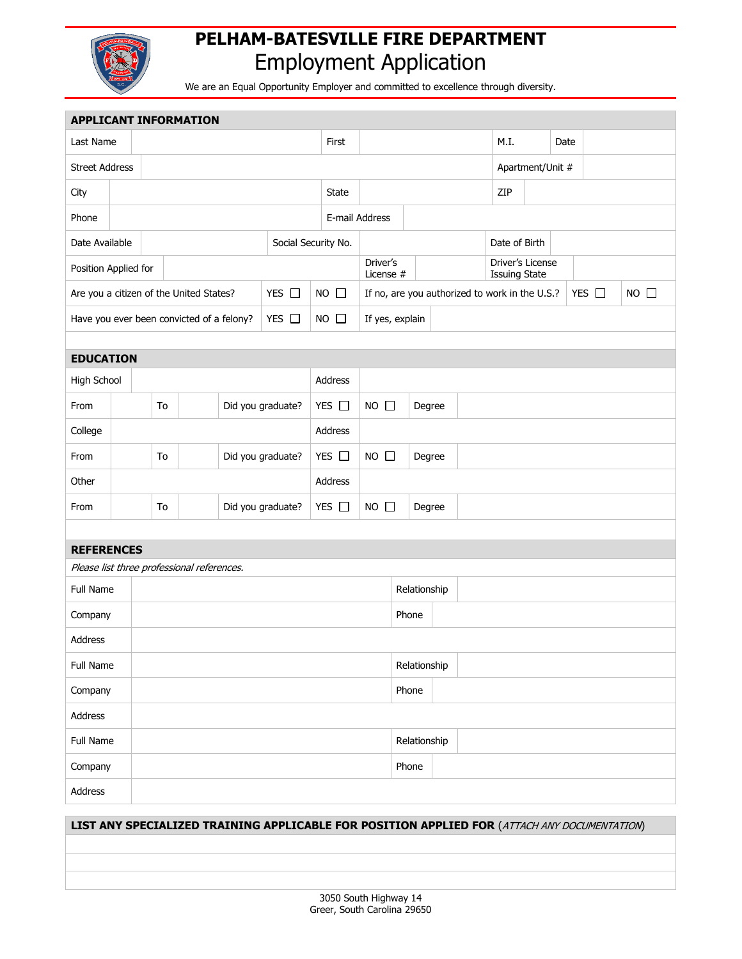

## **PELHAM-BATESVILLE FIRE DEPARTMENT** Employment Application

We are an Equal Opportunity Employer and committed to excellence through diversity.

| <b>APPLICANT INFORMATION</b> |                       |                                         |                                           |                                            |                   |                     |                |                                                |                       |              |      |                                                                                              |                                          |  |  |            |                |  |  |
|------------------------------|-----------------------|-----------------------------------------|-------------------------------------------|--------------------------------------------|-------------------|---------------------|----------------|------------------------------------------------|-----------------------|--------------|------|----------------------------------------------------------------------------------------------|------------------------------------------|--|--|------------|----------------|--|--|
| Last Name                    |                       |                                         |                                           |                                            |                   | First               |                |                                                |                       | M.I.         | Date |                                                                                              |                                          |  |  |            |                |  |  |
|                              | <b>Street Address</b> |                                         |                                           |                                            |                   |                     |                |                                                |                       |              |      | Apartment/Unit #                                                                             |                                          |  |  |            |                |  |  |
| City                         |                       |                                         |                                           |                                            |                   | State               |                |                                                |                       | ZIP          |      |                                                                                              |                                          |  |  |            |                |  |  |
| Phone                        |                       |                                         |                                           |                                            |                   |                     | E-mail Address |                                                |                       |              |      |                                                                                              |                                          |  |  |            |                |  |  |
| Date Available               |                       |                                         |                                           |                                            |                   | Social Security No. |                |                                                |                       |              |      | Date of Birth                                                                                |                                          |  |  |            |                |  |  |
| Position Applied for         |                       |                                         |                                           |                                            |                   |                     |                |                                                | Driver's<br>License # |              |      |                                                                                              | Driver's License<br><b>Issuing State</b> |  |  |            |                |  |  |
|                              |                       | Are you a citizen of the United States? |                                           |                                            | YES $\Box$        |                     | $NO$ $\Box$    | If no, are you authorized to work in the U.S.? |                       |              |      |                                                                                              |                                          |  |  | YES $\Box$ | $NO$ $\square$ |  |  |
|                              |                       |                                         | Have you ever been convicted of a felony? |                                            |                   | YES $\Box$          |                | $NO$ $\Box$                                    | If yes, explain       |              |      |                                                                                              |                                          |  |  |            |                |  |  |
|                              |                       |                                         |                                           |                                            |                   |                     |                |                                                |                       |              |      |                                                                                              |                                          |  |  |            |                |  |  |
| <b>EDUCATION</b>             |                       |                                         |                                           |                                            |                   |                     |                |                                                |                       |              |      |                                                                                              |                                          |  |  |            |                |  |  |
|                              | High School           |                                         |                                           |                                            |                   |                     |                | Address                                        |                       |              |      |                                                                                              |                                          |  |  |            |                |  |  |
| From                         |                       |                                         | To                                        |                                            | Did you graduate? |                     |                | YES $\Box$                                     | $NO$ $\Box$           | Degree       |      |                                                                                              |                                          |  |  |            |                |  |  |
| College                      |                       |                                         |                                           |                                            |                   |                     | Address        |                                                |                       |              |      |                                                                                              |                                          |  |  |            |                |  |  |
| From                         |                       | To                                      |                                           | Did you graduate?                          |                   |                     | YES $\Box$     |                                                | $NO$ $\Box$           | Degree       |      |                                                                                              |                                          |  |  |            |                |  |  |
| Other                        |                       |                                         |                                           |                                            |                   |                     |                | Address                                        |                       |              |      |                                                                                              |                                          |  |  |            |                |  |  |
| From                         |                       | To                                      |                                           |                                            | Did you graduate? |                     | YES $\square$  |                                                | $NO$ $\Box$           | Degree       |      |                                                                                              |                                          |  |  |            |                |  |  |
|                              |                       |                                         |                                           |                                            |                   |                     |                |                                                |                       |              |      |                                                                                              |                                          |  |  |            |                |  |  |
| <b>REFERENCES</b>            |                       |                                         |                                           |                                            |                   |                     |                |                                                |                       |              |      |                                                                                              |                                          |  |  |            |                |  |  |
|                              |                       |                                         |                                           | Please list three professional references. |                   |                     |                |                                                |                       |              |      |                                                                                              |                                          |  |  |            |                |  |  |
| <b>Full Name</b>             |                       |                                         |                                           |                                            |                   |                     |                | Relationship                                   |                       |              |      |                                                                                              |                                          |  |  |            |                |  |  |
| Company                      |                       |                                         |                                           |                                            |                   |                     |                |                                                |                       | Phone        |      |                                                                                              |                                          |  |  |            |                |  |  |
| Address                      |                       |                                         |                                           |                                            |                   |                     |                |                                                |                       |              |      |                                                                                              |                                          |  |  |            |                |  |  |
| Full Name                    |                       |                                         |                                           |                                            |                   |                     |                |                                                | Relationship          |              |      |                                                                                              |                                          |  |  |            |                |  |  |
| Company                      |                       |                                         |                                           |                                            |                   |                     |                | Phone                                          |                       |              |      |                                                                                              |                                          |  |  |            |                |  |  |
| Address                      |                       |                                         |                                           |                                            |                   |                     |                |                                                |                       |              |      |                                                                                              |                                          |  |  |            |                |  |  |
| Full Name                    |                       |                                         |                                           |                                            |                   |                     |                |                                                |                       | Relationship |      |                                                                                              |                                          |  |  |            |                |  |  |
| Company                      |                       |                                         |                                           |                                            |                   |                     |                |                                                |                       | Phone        |      |                                                                                              |                                          |  |  |            |                |  |  |
| Address                      |                       |                                         |                                           |                                            |                   |                     |                |                                                |                       |              |      |                                                                                              |                                          |  |  |            |                |  |  |
|                              |                       |                                         |                                           |                                            |                   |                     |                |                                                |                       |              |      | LIST ANY SPECIALIZED TRAINING APPLICABLE FOR POSITION APPLIED FOR (ATTACH ANY DOCUMENTATION) |                                          |  |  |            |                |  |  |